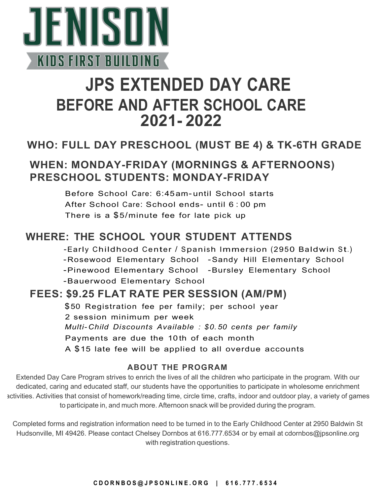

# **JPS EXTENDED DAY CARE BEFORE AND AFTER SCHOOL CARE 2021- 2022**

## **WHO: FULL DAY PRESCHOOL (MUST BE 4) & TK-6TH GRADE**

## **WHEN: MONDAY-FRIDAY (MORNINGS & AFTERNOONS) PRESCHOOL STUDENTS: MONDAY-FRIDAY**

Before School Care: 6:45am- until School starts After School Care: School ends- until 6 : 00 pm There is a \$5/minute fee for late pick up

## **WHERE: THE SCHOOL YOUR STUDENT ATTENDS**

-Early Childhood Center / Spanish Immersion (2950 Baldwin St.) -Rosewood Elementary School -Sandy Hill Elementary School -Pinewood Elementary School -Bursley Elementary School -Bauerwood Elementary School

## **FEES: \$9.25 FLAT RATE PER SESSION (AM/PM)**

\$50 Registration fee per family; per school year 2 session minimum per week *Multi- Child Discounts Available : \$0.50 cents per family*  Payments are due the 10th of each month A \$15 late fee will be applied to all overdue accounts

#### **ABOUT THE PROGRAM**

Extended Day Care Program strives to enrich the lives of all the children who participate in the program. With our dedicated, caring and educated staff, our students have the opportunities to participate in wholesome enrichment activities. Activities that consist of homework/reading time, circle time, crafts, indoor and outdoor play, a variety of games to participate in, and much more. Afternoon snack will be provided during the program.

Completed forms and registration information need to be turned in to the Early Childhood Center at 2950 Baldwin St Hudsonville, MI 49426. Please contact Chelsey Dornbos at 616.777.6534 or by email at [cdornbos@jpsonline.org](mailto:cdornbos@jpsonline.org) with registration questions.